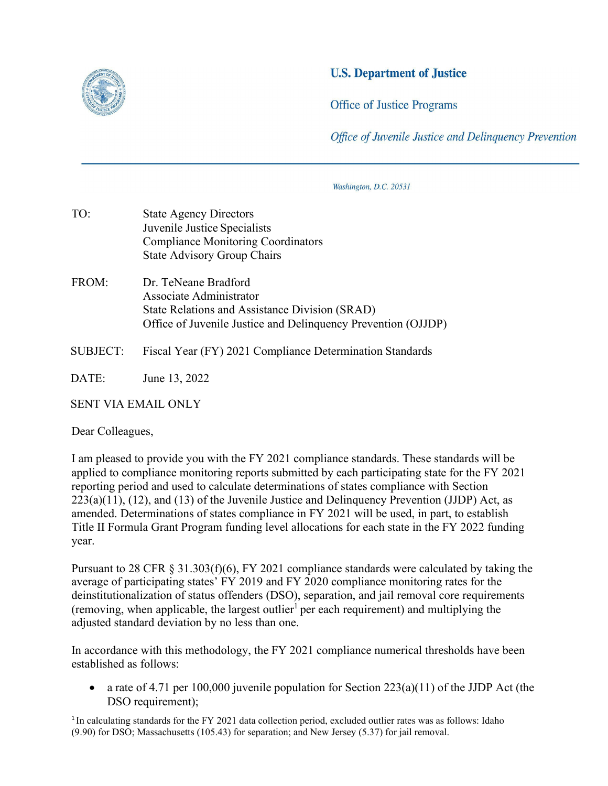

## **U.S. Department of Justice**

**Office of Justice Programs** 

Office of Juvenile Justice and Delinguency Prevention

Washington, D.C. 20531

- Juvenile Justice Specialists TO: State Agency Directors Compliance Monitoring Coordinators State Advisory Group Chairs
- FROM: Dr. TeNeane Bradford Associate Administrator State Relations and Assistance Division (SRAD) Office of Juvenile Justice and Delinquency Prevention (OJJDP)
- SUBJECT: Fiscal Year (FY) 2021 Compliance Determination Standards

DATE: June 13, 2022

SENT VIA EMAIL ONLY

Dear Colleagues,

 applied to compliance monitoring reports submitted by each participating state for the FY 2021 Title II Formula Grant Program funding level allocations for each state in the FY 2022 funding I am pleased to provide you with the FY 2021 compliance standards. These standards will be reporting period and used to calculate determinations of states compliance with Section  $223(a)(11)$ ,  $(12)$ , and  $(13)$  of the Juvenile Justice and Delinquency Prevention (JJDP) Act, as amended. Determinations of states compliance in FY 2021 will be used, in part, to establish year.

(removing, when applicable, the largest outlier<sup>1</sup> per each requirement) and multiplying the adjusted standard deviation by no less than one. Pursuant to 28 CFR § 31.303(f)(6), FY 2021 compliance standards were calculated by taking the average of participating states' FY 2019 and FY 2020 compliance monitoring rates for the deinstitutionalization of status offenders (DSO), separation, and jail removal core requirements

In accordance with this methodology, the FY 2021 compliance numerical thresholds have been established as follows:

a rate of 4.71 per 100,000 juvenile population for Section  $223(a)(11)$  of the JJDP Act (the DSO requirement);

<sup>1</sup>In calculating standards for the FY 2021 data collection period, excluded outlier rates was as follows: Idaho (9.90) for DSO; Massachusetts (105.43) for separation; and New Jersey (5.37) for jail removal.